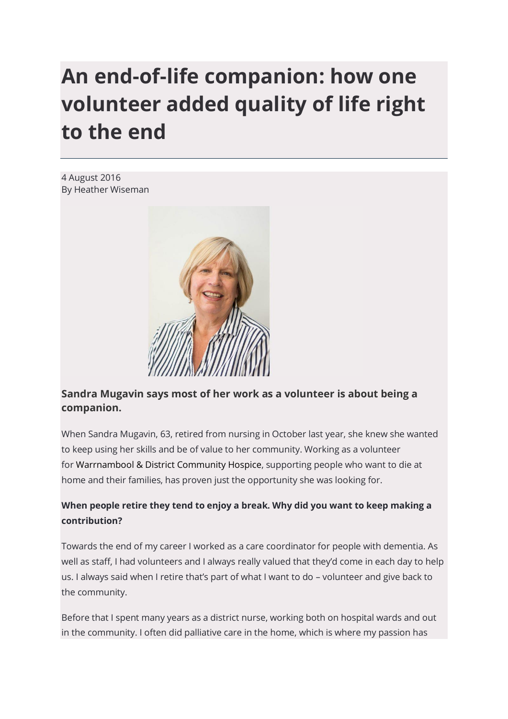# **An end-of-life companion: how one volunteer added quality of life right to the end**

4 August 2016 By Heather Wiseman



# **Sandra Mugavin says most of her work as a volunteer is about being a companion.**

When Sandra Mugavin, 63, retired from nursing in October last year, she knew she wanted to keep using her skills and be of value to her community. Working as a volunteer for [Warrnambool & District Community Hospice,](http://www.wdchospice.org.au/) supporting people who want to die at home and their families, has proven just the opportunity she was looking for.

# **When people retire they tend to enjoy a break. Why did you want to keep making a contribution?**

Towards the end of my career I worked as a care coordinator for people with dementia. As well as staff, I had volunteers and I always really valued that they'd come in each day to help us. I always said when I retire that's part of what I want to do – volunteer and give back to the community.

Before that I spent many years as a district nurse, working both on hospital wards and out in the community. I often did palliative care in the home, which is where my passion has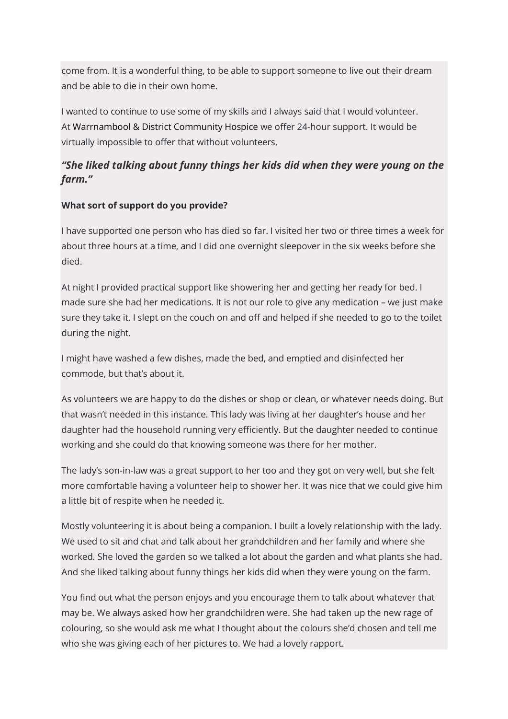come from. It is a wonderful thing, to be able to support someone to live out their dream and be able to die in their own home.

I wanted to continue to use some of my skills and I always said that I would volunteer. At [Warrnambool & District Community Hospice](http://www.wdchospice.org.au/) we offer 24-hour support. It would be virtually impossible to offer that without volunteers.

# *"She liked talking about funny things her kids did when they were young on the farm."*

# **What sort of support do you provide?**

I have supported one person who has died so far. I visited her two or three times a week for about three hours at a time, and I did one overnight sleepover in the six weeks before she died.

At night I provided practical support like showering her and getting her ready for bed. I made sure she had her medications. It is not our role to give any medication – we just make sure they take it. I slept on the couch on and off and helped if she needed to go to the toilet during the night.

I might have washed a few dishes, made the bed, and emptied and disinfected her commode, but that's about it.

As volunteers we are happy to do the dishes or shop or clean, or whatever needs doing. But that wasn't needed in this instance. This lady was living at her daughter's house and her daughter had the household running very efficiently. But the daughter needed to continue working and she could do that knowing someone was there for her mother.

The lady's son-in-law was a great support to her too and they got on very well, but she felt more comfortable having a volunteer help to shower her. It was nice that we could give him a little bit of respite when he needed it.

Mostly volunteering it is about being a companion. I built a lovely relationship with the lady. We used to sit and chat and talk about her grandchildren and her family and where she worked. She loved the garden so we talked a lot about the garden and what plants she had. And she liked talking about funny things her kids did when they were young on the farm.

You find out what the person enjoys and you encourage them to talk about whatever that may be. We always asked how her grandchildren were. She had taken up the new rage of colouring, so she would ask me what I thought about the colours she'd chosen and tell me who she was giving each of her pictures to. We had a lovely rapport.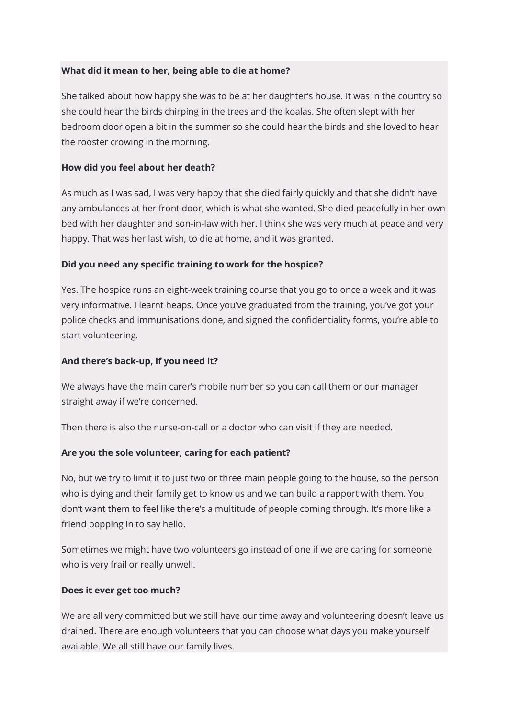#### **What did it mean to her, being able to die at home?**

She talked about how happy she was to be at her daughter's house. It was in the country so she could hear the birds chirping in the trees and the koalas. She often slept with her bedroom door open a bit in the summer so she could hear the birds and she loved to hear the rooster crowing in the morning.

#### **How did you feel about her death?**

As much as I was sad, I was very happy that she died fairly quickly and that she didn't have any ambulances at her front door, which is what she wanted. She died peacefully in her own bed with her daughter and son-in-law with her. I think she was very much at peace and very happy. That was her last wish, to die at home, and it was granted.

#### **Did you need any specific training to work for the hospice?**

Yes. The hospice runs an eight-week training course that you go to once a week and it was very informative. I learnt heaps. Once you've graduated from the training, you've got your police checks and immunisations done, and signed the confidentiality forms, you're able to start volunteering.

#### **And there's back-up, if you need it?**

We always have the main carer's mobile number so you can call them or our manager straight away if we're concerned.

Then there is also the nurse-on-call or a doctor who can visit if they are needed.

#### **Are you the sole volunteer, caring for each patient?**

No, but we try to limit it to just two or three main people going to the house, so the person who is dying and their family get to know us and we can build a rapport with them. You don't want them to feel like there's a multitude of people coming through. It's more like a friend popping in to say hello.

Sometimes we might have two volunteers go instead of one if we are caring for someone who is very frail or really unwell.

#### **Does it ever get too much?**

We are all very committed but we still have our time away and volunteering doesn't leave us drained. There are enough volunteers that you can choose what days you make yourself available. We all still have our family lives.